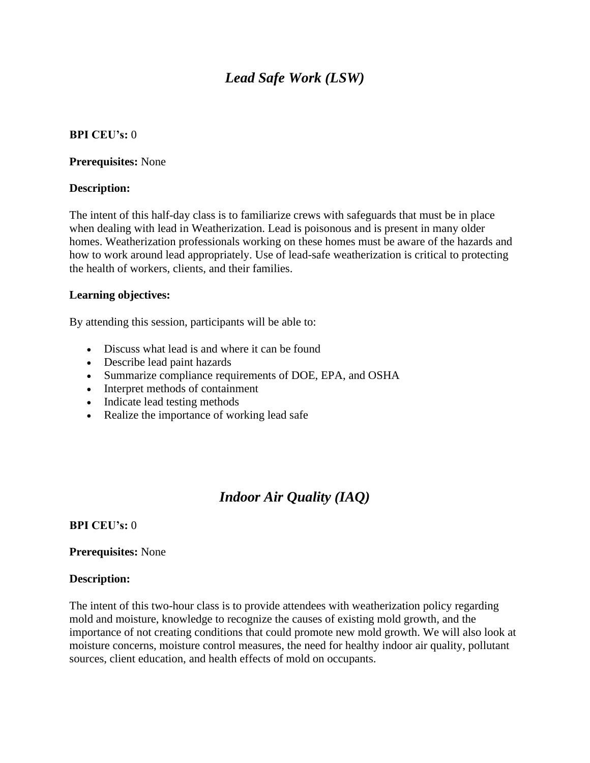# *Lead Safe Work (LSW)*

### **BPI CEU's:** 0

**Prerequisites:** None

### **Description:**

The intent of this half-day class is to familiarize crews with safeguards that must be in place when dealing with lead in Weatherization. Lead is poisonous and is present in many older homes. Weatherization professionals working on these homes must be aware of the hazards and how to work around lead appropriately. Use of lead-safe weatherization is critical to protecting the health of workers, clients, and their families.

### **Learning objectives:**

By attending this session, participants will be able to:

- Discuss what lead is and where it can be found
- Describe lead paint hazards
- Summarize compliance requirements of DOE, EPA, and OSHA
- Interpret methods of containment
- Indicate lead testing methods
- Realize the importance of working lead safe

# *Indoor Air Quality (IAQ)*

## **BPI CEU's:** 0

## **Prerequisites:** None

#### **Description:**

The intent of this two-hour class is to provide attendees with weatherization policy regarding mold and moisture, knowledge to recognize the causes of existing mold growth, and the importance of not creating conditions that could promote new mold growth. We will also look at moisture concerns, moisture control measures, the need for healthy indoor air quality, pollutant sources, client education, and health effects of mold on occupants.